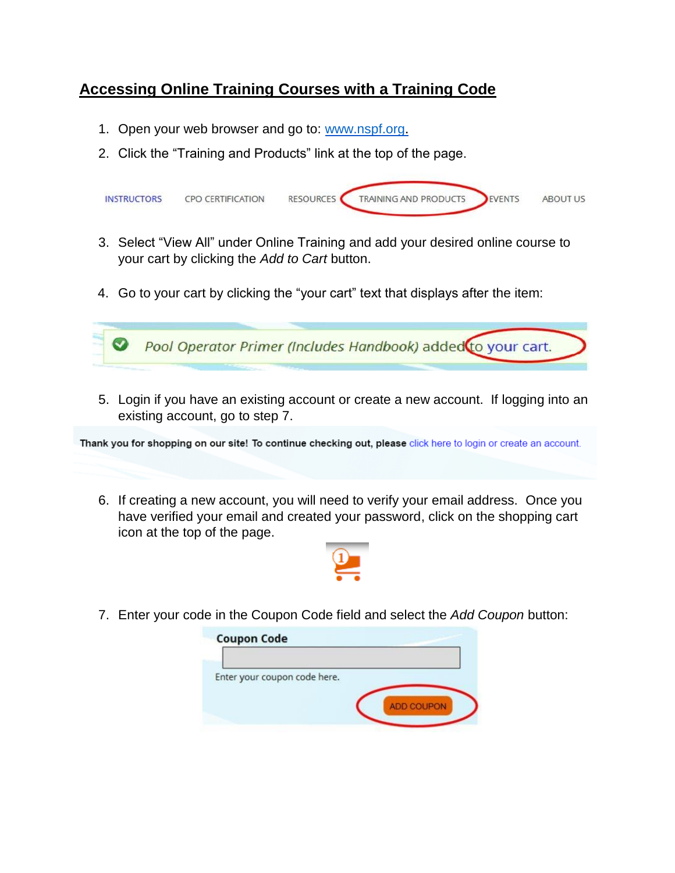## **Accessing Online Training Courses with a Training Code**

- 1. Open your web browser and go to: [www.nspf.org](http://www.nspf.org/).
- 2. Click the "Training and Products" link at the top of the page.



- 3. Select "View All" under Online Training and add your desired online course to your cart by clicking the *Add to Cart* button.
- 4. Go to your cart by clicking the "your cart" text that displays after the item:



5. Login if you have an existing account or create a new account. If logging into an existing account, go to step 7.

Thank you for shopping on our site! To continue checking out, please click here to login or create an account.

6. If creating a new account, you will need to verify your email address. Once you have verified your email and created your password, click on the shopping cart icon at the top of the page.



7. Enter your code in the Coupon Code field and select the *Add Coupon* button:

| <b>Coupon Code</b>           |                   |
|------------------------------|-------------------|
|                              |                   |
| Enter your coupon code here. |                   |
|                              |                   |
|                              | <b>ADD COUPON</b> |